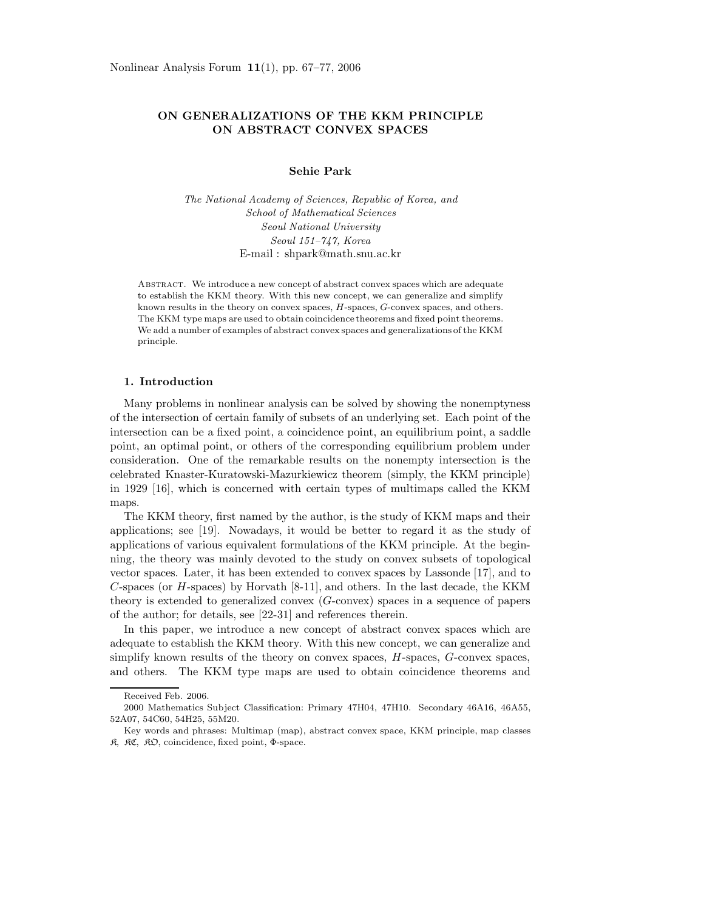# **ON GENERALIZATIONS OF THE KKM PRINCIPLE ON ABSTRACT CONVEX SPACES**

### **Sehie Park**

*The National Academy of Sciences, Republic of Korea, and School of Mathematical Sciences Seoul National University Seoul 151–747, Korea* E-mail : shpark@math.snu.ac.kr

Abstract. We introduce a new concept of abstract convex spaces which are adequate to establish the KKM theory. With this new concept, we can generalize and simplify known results in the theory on convex spaces, H-spaces, G-convex spaces, and others. The KKM type maps are used to obtain coincidence theorems and fixed point theorems. We add a number of examples of abstract convex spaces and generalizations of the KKM principle.

### **1. Introduction**

Many problems in nonlinear analysis can be solved by showing the nonemptyness of the intersection of certain family of subsets of an underlying set. Each point of the intersection can be a fixed point, a coincidence point, an equilibrium point, a saddle point, an optimal point, or others of the corresponding equilibrium problem under consideration. One of the remarkable results on the nonempty intersection is the celebrated Knaster-Kuratowski-Mazurkiewicz theorem (simply, the KKM principle) in 1929 [16], which is concerned with certain types of multimaps called the KKM maps.

The KKM theory, first named by the author, is the study of KKM maps and their applications; see [19]. Nowadays, it would be better to regard it as the study of applications of various equivalent formulations of the KKM principle. At the beginning, the theory was mainly devoted to the study on convex subsets of topological vector spaces. Later, it has been extended to convex spaces by Lassonde [17], and to *C*-spaces (or *H*-spaces) by Horvath [8-11], and others. In the last decade, the KKM theory is extended to generalized convex (*G*-convex) spaces in a sequence of papers of the author; for details, see [22-31] and references therein.

In this paper, we introduce a new concept of abstract convex spaces which are adequate to establish the KKM theory. With this new concept, we can generalize and simplify known results of the theory on convex spaces, *H*-spaces, *G*-convex spaces, and others. The KKM type maps are used to obtain coincidence theorems and

Received Feb. 2006.

<sup>2000</sup> Mathematics Subject Classification: Primary 47H04, 47H10. Secondary 46A16, 46A55, 52A07, 54C60, 54H25, 55M20.

Key words and phrases: Multimap (map), abstract convex space, KKM principle, map classes  $R$ ,  $R\mathfrak{C}$ ,  $R\mathfrak{D}$ , coincidence, fixed point,  $\Phi$ -space.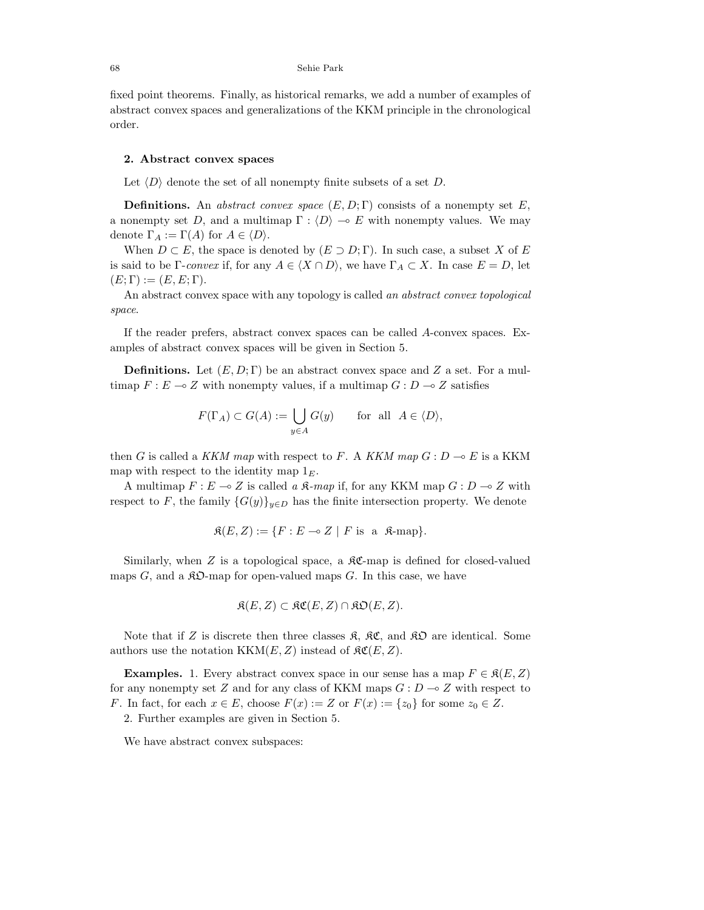fixed point theorems. Finally, as historical remarks, we add a number of examples of abstract convex spaces and generalizations of the KKM principle in the chronological order.

#### **2. Abstract convex spaces**

Let  $\langle D \rangle$  denote the set of all nonempty finite subsets of a set *D*.

**Definitions.** An abstract convex space  $(E, D; \Gamma)$  consists of a nonempty set E, a nonempty set *D*, and a multimap  $\Gamma : \langle D \rangle \to E$  with nonempty values. We may denote  $\Gamma_A := \Gamma(A)$  for  $A \in \langle D \rangle$ .

When  $D \subset E$ , the space is denoted by  $(E \supset D; \Gamma)$ . In such case, a subset *X* of *E* is said to be Γ-convex if, for any  $A \in \langle X \cap D \rangle$ , we have  $\Gamma_A \subset X$ . In case  $E = D$ , let  $(E; \Gamma) := (E, E; \Gamma).$ 

An abstract convex space with any topology is called an abstract convex topological space.

If the reader prefers, abstract convex spaces can be called *A*-convex spaces. Examples of abstract convex spaces will be given in Section 5.

**Definitions.** Let  $(E, D; \Gamma)$  be an abstract convex space and Z a set. For a multimap  $F: E \to Z$  with nonempty values, if a multimap  $G: D \to Z$  satisfies

$$
F(\Gamma_A) \subset G(A) := \bigcup_{y \in A} G(y) \quad \text{for all } A \in \langle D \rangle,
$$

then *G* is called a *KKM map* with respect to *F*. A *KKM map*  $G: D \to E$  is a KKM map with respect to the identity map 1*E*.

A multimap  $F: E \to Z$  is called a  $\mathfrak{K}\text{-}map$  if, for any KKM map  $G: D \to Z$  with respect to *F*, the family  ${G(y)}_{y\in D}$  has the finite intersection property. We denote

$$
\mathfrak{K}(E, Z) := \{ F : E \multimap Z \mid F \text{ is a } \mathfrak{K}\text{-map} \}.
$$

Similarly, when  $Z$  is a topological space, a  $\Re\mathfrak{C}$ -map is defined for closed-valued maps  $G$ , and a  $\mathcal{R}D$ -map for open-valued maps  $G$ . In this case, we have

$$
\mathfrak{K}(E,Z) \subset \mathfrak{KC}(E,Z) \cap \mathfrak{KD}(E,Z).
$$

Note that if *Z* is discrete then three classes  $\mathfrak{K}$ ,  $\mathfrak{K}C$ , and  $\mathfrak{K}D$  are identical. Some authors use the notation  $KKM(E, Z)$  instead of  $\mathcal{RC}(E, Z)$ .

**Examples.** 1. Every abstract convex space in our sense has a map  $F \in \mathcal{R}(E, Z)$ for any nonempty set *Z* and for any class of KKM maps  $G: D \to Z$  with respect to *F*. In fact, for each  $x \in E$ , choose  $F(x) := Z$  or  $F(x) := \{z_0\}$  for some  $z_0 \in Z$ .

2. Further examples are given in Section 5.

We have abstract convex subspaces: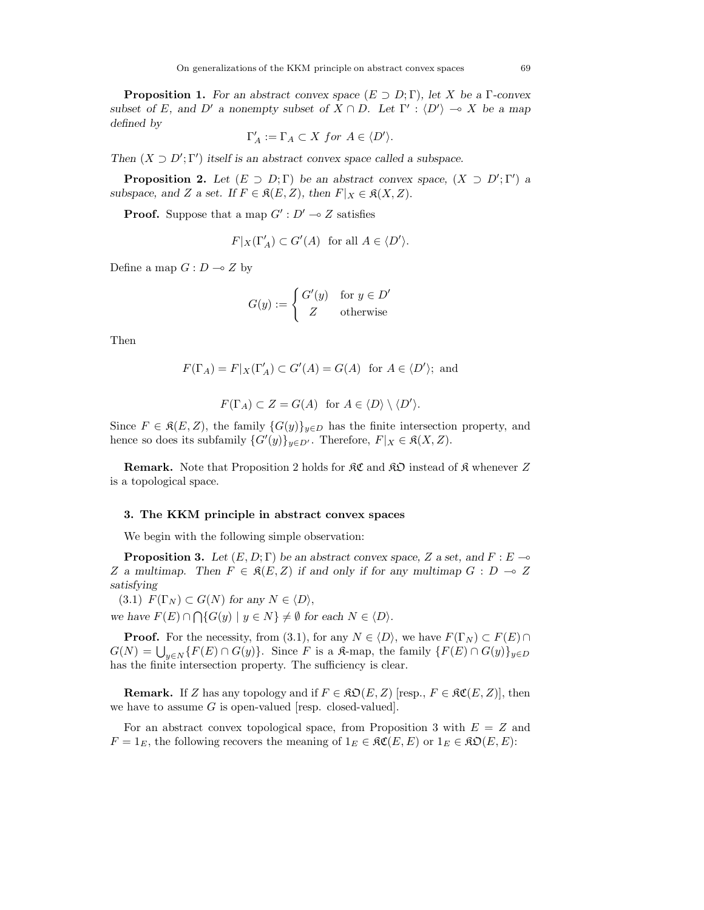**Proposition 1.** For an abstract convex space  $(E \supset D; \Gamma)$ , let *X* be a Γ-convex subset of *E*, and *D'* a nonempty subset of  $X \cap D$ . Let  $\Gamma' : \langle D' \rangle \to X$  be a map defined by

$$
\Gamma'_A:=\Gamma_A\subset X\ for\ A\in \langle D'\rangle.
$$

Then  $(X \supset D'; \Gamma')$  itself is an abstract convex space called a subspace.

**Proposition 2.** Let  $(E \supset D; \Gamma)$  be an abstract convex space,  $(X \supset D'; \Gamma')$  a subspace, and *Z* a set. If  $F \in \mathfrak{K}(E, Z)$ , then  $F|_X \in \mathfrak{K}(X, Z)$ .

**Proof.** Suppose that a map  $G': D' \to Z$  satisfies

$$
F|_X(\Gamma'_A) \subset G'(A) \text{ for all } A \in \langle D' \rangle.
$$

Define a map  $G: D \to Z$  by

$$
G(y) := \begin{cases} G'(y) & \text{for } y \in D' \\ Z & \text{otherwise} \end{cases}
$$

Then

$$
F(\Gamma_A) = F|_X(\Gamma'_A) \subset G'(A) = G(A) \text{ for } A \in \langle D' \rangle; \text{ and}
$$

$$
F(\Gamma_A) \subset Z = G(A) \text{ for } A \in \langle D \rangle \setminus \langle D' \rangle.
$$

Since  $F \in \mathfrak{K}(E, Z)$ , the family  $\{G(y)\}_{y \in D}$  has the finite intersection property, and hence so does its subfamily  $\{G'(y)\}_{y \in D'}$ . Therefore,  $F|_X \in \mathfrak{K}(X, Z)$ .

**Remark.** Note that Proposition 2 holds for  $\mathcal{RC}$  and  $\mathcal{RD}$  instead of  $\mathcal{R}$  whenever Z is a topological space.

#### **3. The KKM principle in abstract convex spaces**

We begin with the following simple observation:

**Proposition 3.** Let  $(E, D; \Gamma)$  be an abstract convex space, Z a set, and  $F: E \rightarrow$ *Z* a multimap. Then  $F \in \mathcal{R}(E, Z)$  if and only if for any multimap  $G : D \to Z$ satisfying

 $(3.1)$   $F(\Gamma_N) \subset G(N)$  for any  $N \in \langle D \rangle$ ,

we have  $F(E) \cap \bigcap \{G(y) \mid y \in N\} \neq \emptyset$  for each  $N \in \langle D \rangle$ .

**Proof.** For the necessity, from (3.1), for any  $N \in \langle D \rangle$ , we have  $F(\Gamma_N) \subset F(E) \cap$  $G(N) = \bigcup_{y \in N} \{F(E) \cap G(y)\}.$  Since *F* is a  $\mathbb{R}$ -map, the family  $\{F(E) \cap G(y)\}_{y \in D}$ has the finite intersection property. The sufficiency is clear.

**Remark.** If *Z* has any topology and if  $F \in \mathfrak{KO}(E, Z)$  [resp.,  $F \in \mathfrak{SC}(E, Z)$ ], then we have to assume  $G$  is open-valued [resp. closed-valued].

For an abstract convex topological space, from Proposition 3 with *E* = *Z* and  $F = 1_E$ , the following recovers the meaning of  $1_E \in \mathfrak{RC}(E, E)$  or  $1_E \in \mathfrak{RO}(E, E)$ :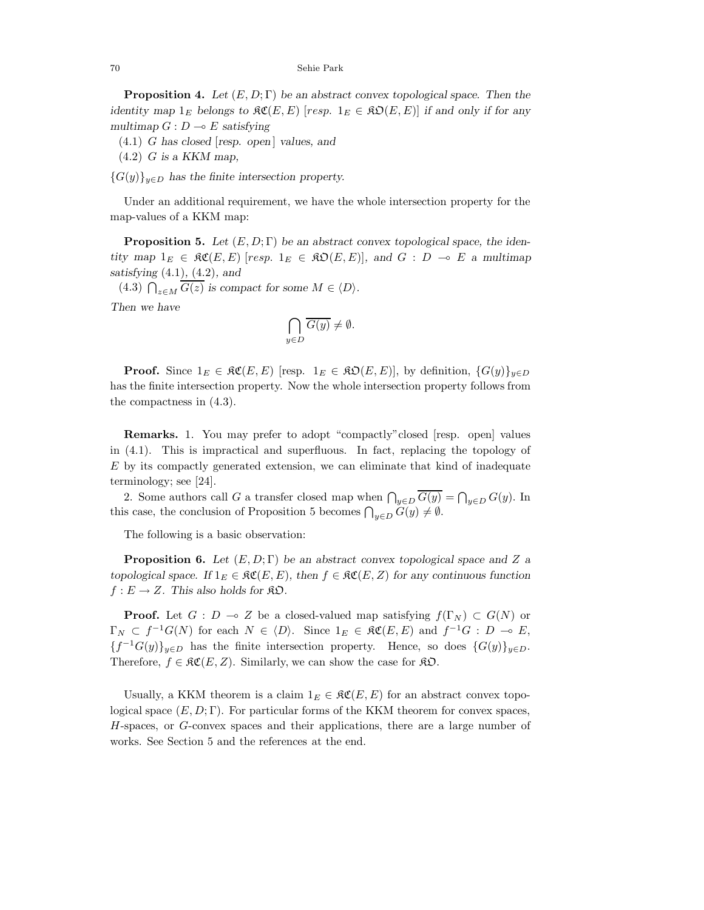70 Sehie Park

**Proposition 4.** Let  $(E, D; \Gamma)$  be an abstract convex topological space. Then the identity map  $1_F$  belongs to  $\mathfrak{RC}(E, E)$  [*resp.*  $1_F \in \mathfrak{RO}(E, E)$ ] if and only if for any multimap  $G: D \to E$  satisfying

- $(4.1)$  *G* has closed [resp. open] values, and
- (4.2) *G* is a KKM map,
- ${G(y)}_{y\in D}$  has the finite intersection property.

Under an additional requirement, we have the whole intersection property for the map-values of a KKM map:

**Proposition 5.** Let  $(E, D; \Gamma)$  be an abstract convex topological space, the identity map  $1_E \in \Re{\mathfrak{C}}(E, E)$  [*resp.*  $1_E \in \Re{\mathfrak{D}}(E, E)$ ], and  $G : D \multimap E$  a multimap satisfying (4*.*1), (4*.*2), and

 $(4.3)$   $\bigcap_{z \in M} \overline{G(z)}$  is compact for some  $M \in \langle D \rangle$ . Then we have

$$
\bigcap_{y \in D} \overline{G(y)} \neq \emptyset.
$$

**Proof.** Since  $1_E \in \mathfrak{RC}(E, E)$  [resp.  $1_E \in \mathfrak{RO}(E, E)$ ], by definition,  $\{G(y)\}_{y \in D}$ has the finite intersection property. Now the whole intersection property follows from the compactness in (4.3).

**Remarks.** 1. You may prefer to adopt "compactly"closed [resp. open] values in (4.1). This is impractical and superfluous. In fact, replacing the topology of *E* by its compactly generated extension, we can eliminate that kind of inadequate terminology; see [24].

2. Some authors call *G* a transfer closed map when  $\bigcap_{y \in D} \overline{G(y)} = \bigcap_{y \in D} G(y)$ . In this case, the conclusion of Proposition 5 becomes  $\bigcap_{y \in D} G(y) \neq \emptyset$ .

The following is a basic observation:

**Proposition 6.** Let (*E,D*; Γ) be an abstract convex topological space and *Z* a topological space. If  $1_E \in \mathfrak{RC}(E, E)$ , then  $f \in \mathfrak{SC}(E, Z)$  for any continuous function  $f: E \to Z$ . This also holds for  $\Re \mathfrak{O}$ .

**Proof.** Let  $G: D \to Z$  be a closed-valued map satisfying  $f(\Gamma_N) \subset G(N)$  or  $\Gamma_N \subset f^{-1}G(N)$  for each  $N \in \langle D \rangle$ . Since  $1_E \in \mathfrak{RC}(E,E)$  and  $f^{-1}G : D \multimap E$ ,  ${f^{-1}G(y)}_{y\in D}$  has the finite intersection property. Hence, so does  ${G(y)}_{y\in D}$ . Therefore,  $f \in \mathcal{RC}(E, Z)$ . Similarly, we can show the case for  $\mathcal{RD}$ .

Usually, a KKM theorem is a claim  $1_E \in \mathfrak{RC}(E, E)$  for an abstract convex topological space  $(E, D; \Gamma)$ . For particular forms of the KKM theorem for convex spaces, *H*-spaces, or *G*-convex spaces and their applications, there are a large number of works. See Section 5 and the references at the end.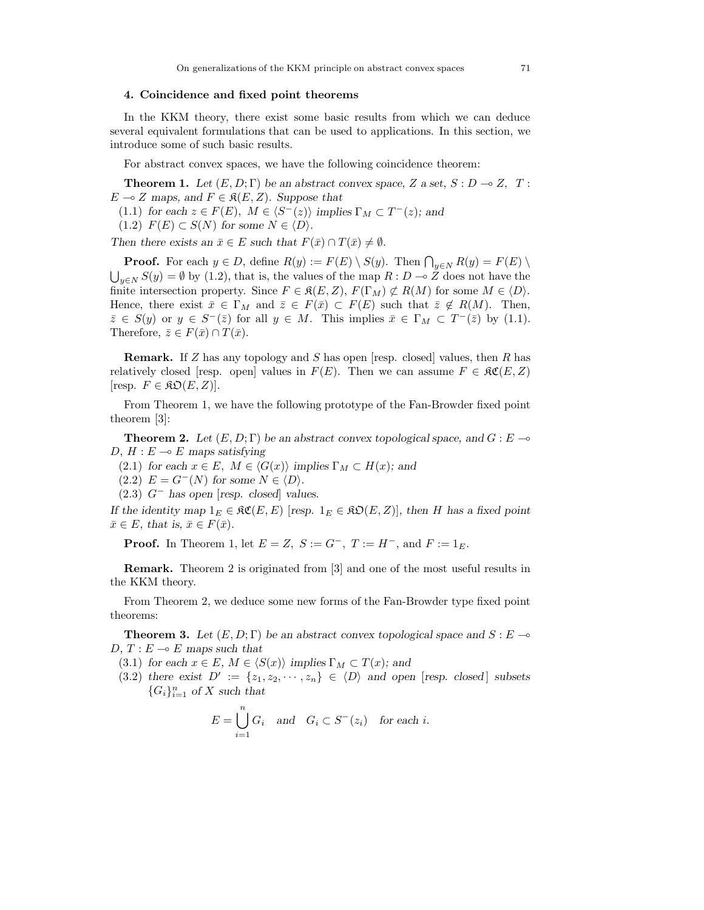## **4. Coincidence and fixed point theorems**

In the KKM theory, there exist some basic results from which we can deduce several equivalent formulations that can be used to applications. In this section, we introduce some of such basic results.

For abstract convex spaces, we have the following coincidence theorem:

**Theorem 1.** Let  $(E, D; \Gamma)$  be an abstract convex space, *Z* a set,  $S: D \to Z$ , *T*:  $E \multimap Z$  maps, and  $F \in \mathfrak{K}(E, Z)$ . Suppose that

- (1.1) for each  $z \in F(E)$ ,  $M \in \langle S^{-}(z) \rangle$  implies  $\Gamma_M \subset T^{-}(z)$ ; and
- $(1.2)$   $F(E) \subset S(N)$  for some  $N \in \langle D \rangle$ .

Then there exists an  $\bar{x} \in E$  such that  $F(\bar{x}) \cap T(\bar{x}) \neq \emptyset$ .

**Proof.** For each  $y \in D$ , define  $R(y) := F(E) \setminus S(y)$ . Then  $\bigcap_{y \in N} R(y) = F(E) \setminus S(y)$  $\bigcup_{y \in N} S(y) = \emptyset$  by (1.2), that is, the values of the map  $R : D \to Z$  does not have the finite intersection property. Since  $F \in \mathfrak{K}(E, Z)$ ,  $F(\Gamma_M) \not\subset R(M)$  for some  $M \in \langle D \rangle$ . Hence, there exist  $\bar{x} \in \Gamma_M$  and  $\bar{z} \in F(\bar{x}) \subset F(E)$  such that  $\bar{z} \notin R(M)$ . Then,  $\overline{z} \in S(y)$  or  $y \in S^{-}(\overline{z})$  for all  $y \in M$ . This implies  $\overline{x} \in \Gamma_M \subset T^{-}(\overline{z})$  by (1.1). Therefore,  $\overline{z} \in F(\overline{x}) \cap T(\overline{x})$ .

**Remark.** If *Z* has any topology and *S* has open [resp. closed] values, then *R* has relatively closed [resp. open] values in  $F(E)$ . Then we can assume  $F \in \mathfrak{RC}(E, Z)$  $[resp. \, F \in \mathfrak{KD}(E, Z)].$ 

From Theorem 1, we have the following prototype of the Fan-Browder fixed point theorem [3]:

**Theorem 2.** Let  $(E, D; \Gamma)$  be an abstract convex topological space, and  $G: E \rightarrow$ *D*,  $H: E \to E$  maps satisfying

- (2.1) for each  $x \in E$ ,  $M \in \langle G(x) \rangle$  implies  $\Gamma_M \subset H(x)$ ; and
- $(2.2)$   $E = G^{-}(N)$  for some  $N \in \langle D \rangle$ .
- (2.3) *G*<sup>−</sup> has open [resp. closed] values.

If the identity map  $1_E \in \mathfrak{RC}(E, E)$  [resp.  $1_E \in \mathfrak{RO}(E, Z)$ ], then *H* has a fixed point  $\bar{x} \in E$ , that is,  $\bar{x} \in F(\bar{x})$ .

**Proof.** In Theorem 1, let  $E = Z$ ,  $S := G^{-}$ ,  $T := H^{-}$ , and  $F := 1_{E}$ .

**Remark.** Theorem 2 is originated from [3] and one of the most useful results in the KKM theory.

From Theorem 2, we deduce some new forms of the Fan-Browder type fixed point theorems:

**Theorem 3.** Let  $(E, D; \Gamma)$  be an abstract convex topological space and  $S: E \to \infty$ *D*,  $T: E \to E$  maps such that

- (3.1) for each  $x \in E$ ,  $M \in \langle S(x) \rangle$  implies  $\Gamma_M \subset T(x)$ ; and
- (3.2) there exist  $D' := \{z_1, z_2, \dots, z_n\} \in \langle D \rangle$  and open [resp. closed] subsets  ${G_i}_{i=1}^n$  of *X* such that

$$
E = \bigcup_{i=1}^{n} G_i \quad \text{and} \quad G_i \subset S^-(z_i) \quad \text{for each } i.
$$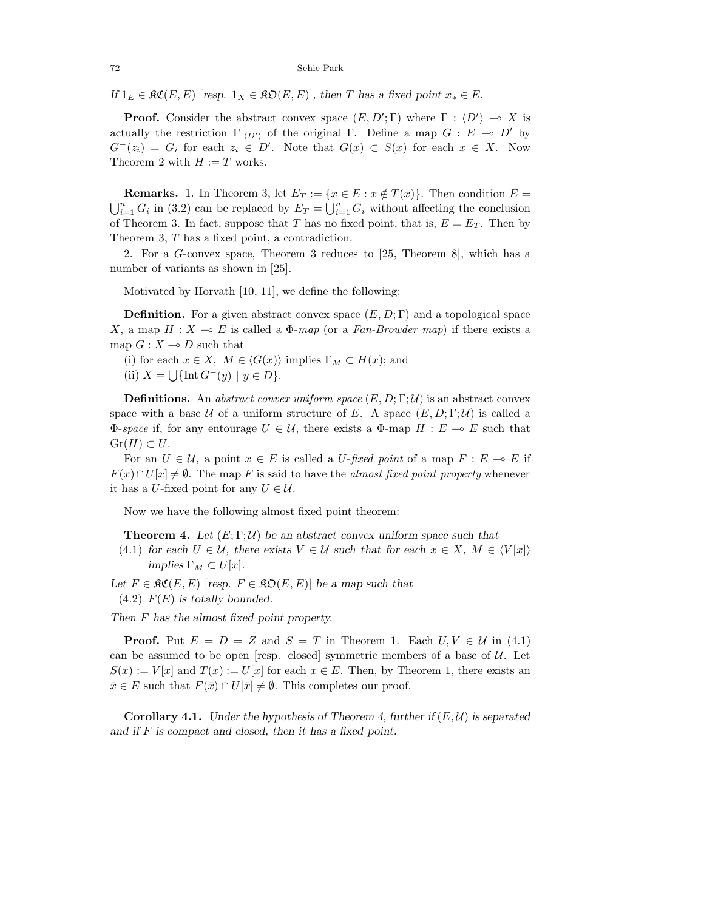72 Sehie Park

If  $1_E \in \mathfrak{RC}(E, E)$  [resp.  $1_X \in \mathfrak{RO}(E, E)$ ], then *T* has a fixed point  $x_* \in E$ .

**Proof.** Consider the abstract convex space  $(E, D'; \Gamma)$  where  $\Gamma : \langle D' \rangle \to X$  is actually the restriction  $\Gamma|_{\langle D' \rangle}$  of the original Γ. Define a map  $G : E \multimap D'$  by  $G^{-}(z_i) = G_i$  for each  $z_i \in D'$ . Note that  $G(x) \subset S(x)$  for each  $x \in X$ . Now Theorem 2 with  $H := T$  works.

**Remarks.** 1. In Theorem 3, let  $E_T := \{x \in E : x \notin T(x)\}\$ . Then condition  $E =$  $\sum_{i=1}^{n} G_i$  in (3.2) can be replaced by  $E_T = \bigcup_{i=1}^{n} G_i$  without affecting the conclusion of Theorem 3. In fact, suppose that *T* has no fixed point, that is,  $E = E_T$ . Then by Theorem 3, *T* has a fixed point, a contradiction.

2. For a *G*-convex space, Theorem 3 reduces to [25, Theorem 8], which has a number of variants as shown in [25].

Motivated by Horvath [10, 11], we define the following:

**Definition.** For a given abstract convex space  $(E, D; \Gamma)$  and a topological space *X*, a map  $H: X \to E$  is called a  $\Phi$ -map (or a Fan-Browder map) if there exists a map  $G: X \to D$  such that

- (i) for each  $x \in X$ ,  $M \in \langle G(x) \rangle$  implies  $\Gamma_M \subset H(x)$ ; and
- (ii)  $X = \bigcup \{ \text{Int } G^-(y) \mid y \in D \}.$

**Definitions.** An abstract convex uniform space  $(E, D; \Gamma; \mathcal{U})$  is an abstract convex space with a base U of a uniform structure of E. A space  $(E, D; \Gamma; \mathcal{U})$  is called a  $Φ$ -space if, for any entourage *U* ∈ *U*, there exists a  $Φ$ -map *H* : *E*  $\sim$  *E* such that  $Gr(H) \subset U$ .

For an  $U \in \mathcal{U}$ , a point  $x \in E$  is called a *U*-fixed point of a map  $F : E \to E$  if  $F(x) \cap U[x] \neq \emptyset$ . The map *F* is said to have the *almost fixed point property* whenever it has a *U*-fixed point for any  $U \in \mathcal{U}$ .

Now we have the following almost fixed point theorem:

**Theorem 4.** Let  $(E; \Gamma; \mathcal{U})$  be an abstract convex uniform space such that

(4.1) for each  $U \in \mathcal{U}$ , there exists  $V \in \mathcal{U}$  such that for each  $x \in X$ ,  $M \in \langle V[x] \rangle$  $implies \Gamma_M \subset U[x].$ 

Let  $F \in \mathfrak{RC}(E, E)$  [resp.  $F \in \mathfrak{RO}(E, E)$ ] be a map such that  $(4.2)$   $F(E)$  is totally bounded.

Then *F* has the almost fixed point property.

**Proof.** Put  $E = D = Z$  and  $S = T$  in Theorem 1. Each  $U, V \in U$  in (4.1) can be assumed to be open [resp. closed] symmetric members of a base of  $U$ . Let  $S(x) := V[x]$  and  $T(x) := U[x]$  for each  $x \in E$ . Then, by Theorem 1, there exists an  $\bar{x} \in E$  such that  $F(\bar{x}) \cap U[\bar{x}] \neq \emptyset$ . This completes our proof.

**Corollary 4.1.** Under the hypothesis of Theorem 4, further if  $(E, \mathcal{U})$  is separated and if *F* is compact and closed, then it has a fixed point.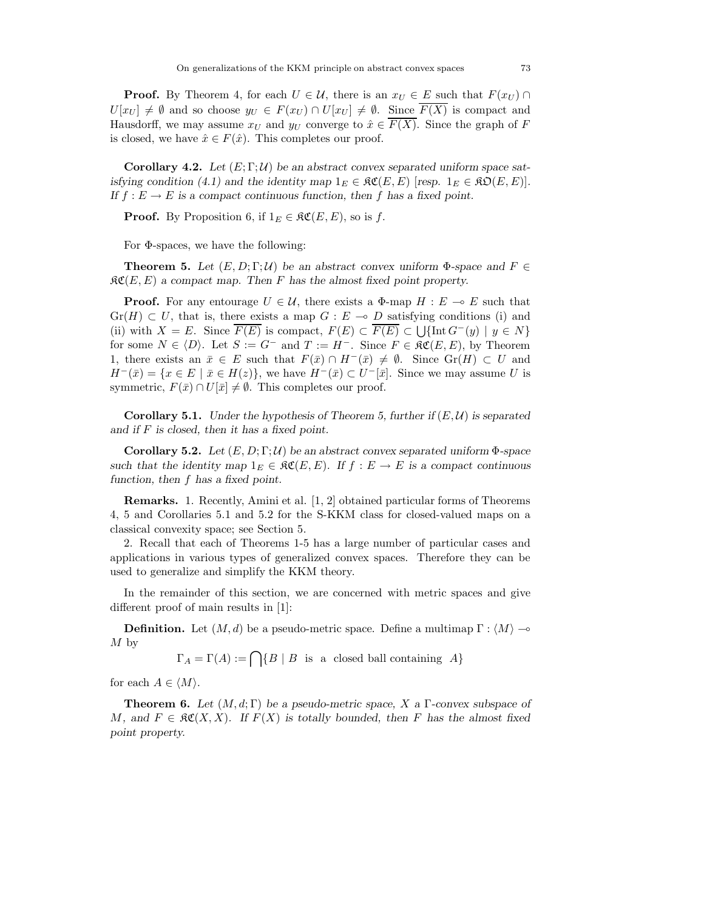**Proof.** By Theorem 4, for each  $U \in \mathcal{U}$ , there is an  $x_U \in E$  such that  $F(x_U) \cap$  $U[x_U] \neq \emptyset$  and so choose  $y_U \in F(x_U) \cap U[x_U] \neq \emptyset$ . Since  $\overline{F(X)}$  is compact and Hausdorff, we may assume  $x_U$  and  $y_U$  converge to  $\hat{x} \in F(X)$ . Since the graph of F is closed, we have  $\hat{x} \in F(\hat{x})$ . This completes our proof.

**Corollary 4.2.** Let  $(E; \Gamma; \mathcal{U})$  be an abstract convex separated uniform space satisfying condition (4.1) and the identity map  $1_E \in \mathfrak{RC}(E, E)$  [resp.  $1_E \in \mathfrak{RO}(E, E)$ ]. If  $f : E \to E$  is a compact continuous function, then f has a fixed point.

**Proof.** By Proposition 6, if  $1_E \in \mathcal{RC}(E, E)$ , so is f.

For Φ-spaces, we have the following:

**Theorem 5.** Let  $(E, D; \Gamma; \mathcal{U})$  be an abstract convex uniform  $\Phi$ -space and  $F \in$  $\mathfrak{RC}(E,E)$  a compact map. Then F has the almost fixed point property.

**Proof.** For any entourage  $U \in \mathcal{U}$ , there exists a  $\Phi$ -map  $H : E \multimap E$  such that  $Gr(H) \subset U$ , that is, there exists a map  $G : E \to D$  satisfying conditions (i) and (ii) with  $X = E$ . Since  $F(E)$  is compact,  $F(E) \subset F(E) \subset \bigcup \{\text{Int } G^-(y) \mid y \in N\}$ for some  $N \in \langle D \rangle$ . Let  $S := G^-$  and  $T := H^-$ . Since  $F \in \mathcal{RC}(E, E)$ , by Theorem 1, there exists an  $\bar{x} \in E$  such that  $F(\bar{x}) \cap H^{-}(\bar{x}) \neq \emptyset$ . Since  $Gr(H) \subset U$  and  $H^{-}(\bar{x}) = \{x \in E \mid \bar{x} \in H(z)\},\$  we have  $H^{-}(\bar{x}) \subset U^{-}[\bar{x}].$  Since we may assume *U* is symmetric,  $F(\bar{x}) \cap U[\bar{x}] \neq \emptyset$ . This completes our proof.

**Corollary 5.1.** Under the hypothesis of Theorem 5, further if  $(E, \mathcal{U})$  is separated and if *F* is closed, then it has a fixed point.

**Corollary 5.2.** Let  $(E, D; \Gamma; \mathcal{U})$  be an abstract convex separated uniform  $\Phi$ -space such that the identity map  $1_E \in \mathfrak{RC}(E, E)$ . If  $f : E \to E$  is a compact continuous function, then *f* has a fixed point.

**Remarks.** 1. Recently, Amini et al. [1, 2] obtained particular forms of Theorems 4, 5 and Corollaries 5.1 and 5.2 for the S-KKM class for closed-valued maps on a classical convexity space; see Section 5.

2. Recall that each of Theorems 1-5 has a large number of particular cases and applications in various types of generalized convex spaces. Therefore they can be used to generalize and simplify the KKM theory.

In the remainder of this section, we are concerned with metric spaces and give different proof of main results in [1]:

**Definition.** Let  $(M, d)$  be a pseudo-metric space. Define a multimap  $\Gamma : \langle M \rangle \rightarrow$ *M* by

$$
\Gamma_A = \Gamma(A) := \bigcap \{ B \mid B \text{ is a closed ball containing } A \}
$$

for each  $A \in \langle M \rangle$ .

**Theorem 6.** Let (*M, d*; Γ) be a pseudo-metric space, *X* a Γ-convex subspace of *M*, and  $F \in \mathfrak{RC}(X,X)$ . If  $F(X)$  is totally bounded, then *F* has the almost fixed point property.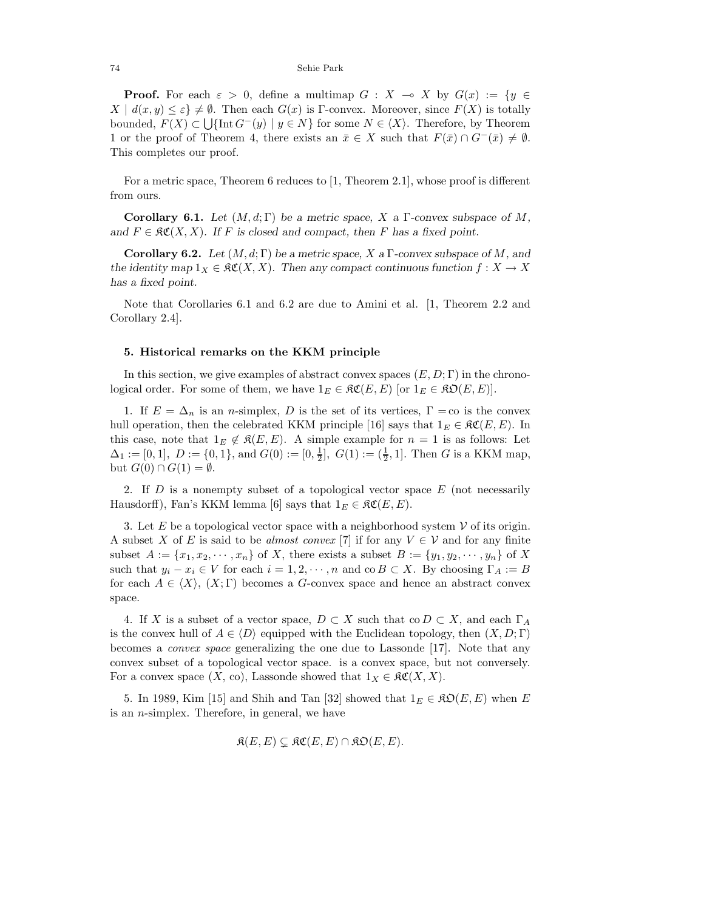**Proof.** For each  $\varepsilon > 0$ , define a multimap  $G : X \to X$  by  $G(x) := \{y \in X : X \to Y\}$  $X \mid d(x, y) \leq \varepsilon$   $\neq \emptyset$ . Then each  $G(x)$  is Γ-convex. Moreover, since  $F(X)$  is totally bounded,  $F(X) \subset \bigcup \{\text{Int } G^-(y) \mid y \in N\}$  for some  $N \in \langle X \rangle$ . Therefore, by Theorem 1 or the proof of Theorem 4, there exists an  $\bar{x} \in X$  such that  $F(\bar{x}) \cap G^{-}(\bar{x}) \neq \emptyset$ . This completes our proof.

For a metric space, Theorem 6 reduces to [1, Theorem 2.1], whose proof is different from ours.

**Corollary 6.1.** Let  $(M, d; \Gamma)$  be a metric space, X a  $\Gamma$ -convex subspace of M, and  $F \in \mathfrak{RC}(X,X)$ . If *F* is closed and compact, then *F* has a fixed point.

**Corollary 6.2.** Let  $(M, d; \Gamma)$  be a metric space, *X* a  $\Gamma$ -convex subspace of *M*, and the identity map  $1_X \in \mathfrak{RC}(X, X)$ . Then any compact continuous function  $f : X \to X$ has a fixed point.

Note that Corollaries 6.1 and 6.2 are due to Amini et al. [1, Theorem 2.2 and Corollary 2.4].

## **5. Historical remarks on the KKM principle**

In this section, we give examples of abstract convex spaces  $(E, D; \Gamma)$  in the chronological order. For some of them, we have  $1_E \in \mathfrak{RC}(E, E)$  [or  $1_E \in \mathfrak{RO}(E, E)$ ].

1. If  $E = \Delta_n$  is an *n*-simplex, *D* is the set of its vertices,  $\Gamma = \infty$  is the convex hull operation, then the celebrated KKM principle [16] says that  $1_E \in \mathcal{RC}(E, E)$ . In this case, note that  $1_E \notin \mathcal{R}(E,E)$ . A simple example for  $n=1$  is as follows: Let  $\Delta_1 := [0, 1], D := \{0, 1\}, \text{and } G(0) := [0, \frac{1}{2}], G(1) := (\frac{1}{2}, 1]. \text{ Then } G \text{ is a KKM map},$ but  $G(0) \cap G(1) = \emptyset$ .

2. If *D* is a nonempty subset of a topological vector space *E* (not necessarily Hausdorff), Fan's KKM lemma [6] says that  $1_E \in \mathfrak{RC}(E, E)$ .

3. Let  $E$  be a topological vector space with a neighborhood system  $V$  of its origin. A subset *X* of *E* is said to be *almost convex* [7] if for any  $V \in V$  and for any finite subset  $A := \{x_1, x_2, \dots, x_n\}$  of *X*, there exists a subset  $B := \{y_1, y_2, \dots, y_n\}$  of *X* such that  $y_i - x_i \in V$  for each  $i = 1, 2, \dots, n$  and co  $B \subset X$ . By choosing  $\Gamma_A := B$ for each  $A \in \langle X \rangle$ ,  $(X; \Gamma)$  becomes a *G*-convex space and hence an abstract convex space.

4. If *X* is a subset of a vector space,  $D \subset X$  such that co  $D \subset X$ , and each  $\Gamma_A$ is the convex hull of  $A \in \langle D \rangle$  equipped with the Euclidean topology, then  $(X, D; \Gamma)$ becomes a convex space generalizing the one due to Lassonde [17]. Note that any convex subset of a topological vector space. is a convex space, but not conversely. For a convex space  $(X, \text{ co})$ , Lassonde showed that  $1_X \in \mathfrak{RC}(X, X)$ .

5. In 1989, Kim [15] and Shih and Tan [32] showed that  $1_E \in \mathfrak{RO}(E, E)$  when E is an *n*-simplex. Therefore, in general, we have

$$
\mathfrak{K}(E,E) \subsetneq \mathfrak{KC}(E,E) \cap \mathfrak{KD}(E,E).
$$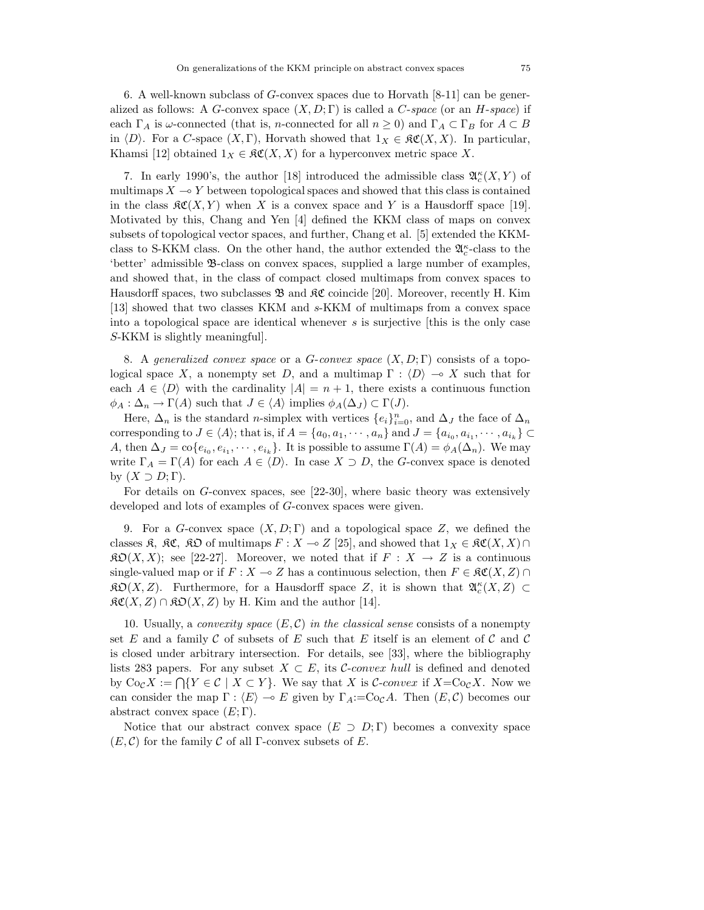6. A well-known subclass of *G*-convex spaces due to Horvath [8-11] can be generalized as follows: A *G*-convex space  $(X, D; \Gamma)$  is called a *C*-space (or an *H*-space) if each  $\Gamma_A$  is  $\omega$ -connected (that is, *n*-connected for all  $n \geq 0$ ) and  $\Gamma_A \subset \Gamma_B$  for  $A \subset B$ in  $\langle D \rangle$ . For a *C*-space  $(X, \Gamma)$ , Horvath showed that  $1_X \in \mathfrak{RC}(X, X)$ . In particular, Khamsi [12] obtained  $1_X \in \mathfrak{RC}(X,X)$  for a hyperconvex metric space X.

7. In early 1990's, the author [18] introduced the admissible class  $\mathfrak{A}_{c}^{\kappa}(X, Y)$  of multimaps  $X \to Y$  between topological spaces and showed that this class is contained in the class  $\mathcal{RC}(X, Y)$  when X is a convex space and Y is a Hausdorff space [19]. Motivated by this, Chang and Yen [4] defined the KKM class of maps on convex subsets of topological vector spaces, and further, Chang et al. [5] extended the KKMclass to S-KKM class. On the other hand, the author extended the  $\mathfrak{A}_c^{\kappa}$ -class to the 'better' admissible B-class on convex spaces, supplied a large number of examples, and showed that, in the class of compact closed multimaps from convex spaces to Hausdorff spaces, two subclasses  $\mathfrak{B}$  and  $\mathfrak{KC}$  coincide [20]. Moreover, recently H. Kim [13] showed that two classes KKM and *s*-KKM of multimaps from a convex space into a topological space are identical whenever *s* is surjective [this is the only case *S*-KKM is slightly meaningful].

8. A generalized convex space or a *G*-convex space (*X, D*; Γ) consists of a topological space X, a nonempty set D, and a multimap  $\Gamma : \langle D \rangle \to X$  such that for each  $A \in \langle D \rangle$  with the cardinality  $|A| = n + 1$ , there exists a continuous function  $\phi_A : \Delta_n \to \Gamma(A)$  such that  $J \in \langle A \rangle$  implies  $\phi_A(\Delta_J) \subset \Gamma(J)$ .

Here,  $\Delta_n$  is the standard *n*-simplex with vertices  $\{e_i\}_{i=0}^n$ , and  $\Delta_J$  the face of  $\Delta_n$ corresponding to  $J \in \langle A \rangle$ ; that is, if  $A = \{a_0, a_1, \dots, a_n\}$  and  $J = \{a_{i_0}, a_{i_1}, \dots, a_{i_k}\} \subset$ *A*, then  $\Delta_J = \text{co}\{e_{i_0}, e_{i_1}, \dots, e_{i_k}\}$ . It is possible to assume  $\Gamma(A) = \phi_A(\Delta_n)$ . We may write  $\Gamma_A = \Gamma(A)$  for each  $A \in \langle D \rangle$ . In case  $X \supset D$ , the *G*-convex space is denoted by (*X* ⊃ *D*; Γ).

For details on *G*-convex spaces, see [22-30], where basic theory was extensively developed and lots of examples of *G*-convex spaces were given.

9. For a *G*-convex space (*X, D*; Γ) and a topological space *Z*, we defined the classes  $\mathfrak{K}$ ,  $\mathfrak{K}C$ ,  $\mathfrak{K}D$  of multimaps  $F: X \to Z$  [25], and showed that  $1_X \in \mathfrak{K}C(X, X) \cap$  $\mathfrak{K} \mathfrak{O}(X,X)$ ; see [22-27]. Moreover, we noted that if  $F : X \to Z$  is a continuous single-valued map or if  $F: X \to Z$  has a continuous selection, then  $F \in \mathcal{RC}(X, Z) \cap Z$  $\mathfrak{RO}(X, Z)$ . Furthermore, for a Hausdorff space *Z*, it is shown that  $\mathfrak{A}_{c}^{\kappa}(X, Z) \subset$  $\mathfrak{RC}(X,Z) \cap \mathfrak{RO}(X,Z)$  by H. Kim and the author [14].

10. Usually, a *convexity space*  $(E, \mathcal{C})$  *in the classical sense* consists of a nonempty set  $E$  and a family  $\mathcal C$  of subsets of  $E$  such that  $E$  itself is an element of  $\mathcal C$  and  $\mathcal C$ is closed under arbitrary intersection. For details, see [33], where the bibliography lists 283 papers. For any subset  $X \subset E$ , its C-convex hull is defined and denoted by  $\text{Co}_{\mathcal{C}}X := \bigcap \{Y \in \mathcal{C} \mid X \subset Y\}$ . We say that X is C-convex if  $X = \text{Co}_{\mathcal{C}}X$ . Now we can consider the map  $\Gamma : \langle E \rangle \to E$  given by  $\Gamma_A = \text{Co}_\mathcal{C} A$ . Then  $(E, \mathcal{C})$  becomes our abstract convex space  $(E; \Gamma)$ .

Notice that our abstract convex space  $(E \supset D; \Gamma)$  becomes a convexity space  $(E, \mathcal{C})$  for the family  $\mathcal C$  of all  $\Gamma$ -convex subsets of  $E$ .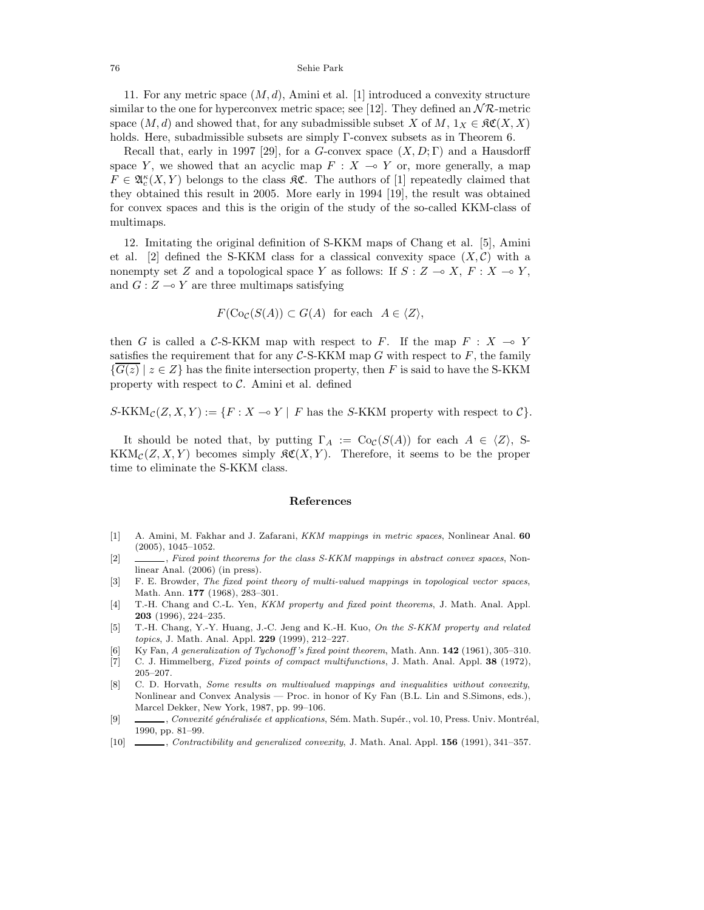76 Sehie Park

11. For any metric space (*M, d*), Amini et al. [1] introduced a convexity structure similar to the one for hyperconvex metric space; see [12]. They defined an  $\mathcal{NR}$ -metric space  $(M, d)$  and showed that, for any subadmissible subset *X* of  $M, 1_X \in \mathfrak{RC}(X, X)$ holds. Here, subadmissible subsets are simply Γ-convex subsets as in Theorem 6.

Recall that, early in 1997 [29], for a *G*-convex space  $(X, D; \Gamma)$  and a Hausdorff space *Y*, we showed that an acyclic map  $F : X \rightarrow Y$  or, more generally, a map  $F \in \mathfrak{A}_{c}^{\kappa}(X, Y)$  belongs to the class  $\mathfrak{K} \mathfrak{C}$ . The authors of [1] repeatedly claimed that they obtained this result in 2005. More early in 1994 [19], the result was obtained for convex spaces and this is the origin of the study of the so-called KKM-class of multimaps.

12. Imitating the original definition of S-KKM maps of Chang et al. [5], Amini et al. [2] defined the S-KKM class for a classical convexity space  $(X, \mathcal{C})$  with a nonempty set *Z* and a topological space *Y* as follows: If  $S: Z \to X, F: X \to Y$ , and  $G: Z \rightarrow Y$  are three multimaps satisfying

$$
F(\text{Co}_\mathcal{C}(S(A)) \subset G(A)
$$
 for each  $A \in \langle Z \rangle$ ,

then *G* is called a C-S-KKM map with respect to *F*. If the map  $F : X \to Y$ satisfies the requirement that for any  $C$ -S-KKM map  $G$  with respect to  $F$ , the family  ${G(z) | z \in Z}$  has the finite intersection property, then *F* is said to have the S-KKM property with respect to  $C$ . Amini et al. defined

$$
S-KKM_{\mathcal{C}}(Z,X,Y) := \{ F : X \multimap Y \mid F \text{ has the } S-KKM \text{ property with respect to } \mathcal{C} \}.
$$

It should be noted that, by putting  $\Gamma_A := \text{Co}_\mathcal{C}(S(A))$  for each  $A \in \langle Z \rangle$ , S- $KKM_{\mathcal{C}}(Z, X, Y)$  becomes simply  $\mathfrak{RC}(X, Y)$ . Therefore, it seems to be the proper time to eliminate the S-KKM class.

### **References**

- [1] A. Amini, M. Fakhar and J. Zafarani, *KKM mappings in metric spaces*, Nonlinear Anal. **60** (2005), 1045–1052.
- [2] , *Fixed point theorems for the class S-KKM mappings in abstract convex spaces*, Nonlinear Anal. (2006) (in press).
- [3] F. E. Browder, *The fixed point theory of multi-valued mappings in topological vector spaces*, Math. Ann. **177** (1968), 283–301.
- [4] T.-H. Chang and C.-L. Yen, *KKM property and fixed point theorems*, J. Math. Anal. Appl. **203** (1996), 224–235.
- [5] T.-H. Chang, Y.-Y. Huang, J.-C. Jeng and K.-H. Kuo, *On the S-KKM property and related topics*, J. Math. Anal. Appl. **229** (1999), 212–227.
- [6] Ky Fan, *A generalization of Tychonoff 's fixed point theorem*, Math. Ann. **142** (1961), 305–310.
- [7] C. J. Himmelberg, *Fixed points of compact multifunctions*, J. Math. Anal. Appl. **38** (1972), 205–207.
- [8] C. D. Horvath, *Some results on multivalued mappings and inequalities without convexity*, Nonlinear and Convex Analysis — Proc. in honor of Ky Fan (B.L. Lin and S.Simons, eds.), Marcel Dekker, New York, 1987, pp. 99–106.
- [9] , *Convexité généralisée et applications*, Sém. Math. Supér., vol. 10, Press. Univ. Montréal, 1990, pp. 81–99.
- [10] , *Contractibility and generalized convexity*, J. Math. Anal. Appl. **156** (1991), 341–357.